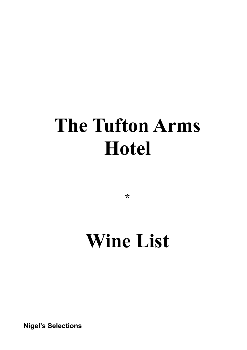# **The Tufton Arms Hotel**

**\***

# **Wine List**

**Nigel's Selections**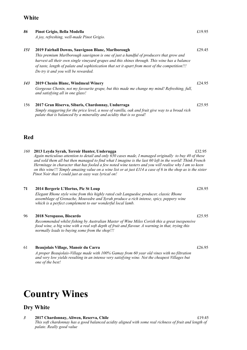#### **White**

| 86  | Pinot Grigio, Bella Modella<br>A joy, refreshing, well-made Pinot Grigio.                                                                                                                                                                                                                                                                                                              | £19.95 |
|-----|----------------------------------------------------------------------------------------------------------------------------------------------------------------------------------------------------------------------------------------------------------------------------------------------------------------------------------------------------------------------------------------|--------|
| 151 | 2019 Fairhall Downs, Sauvignon Blanc, Marlborough<br>This premium Marlborough sauvignon is one of just a handful of producers that grow and<br>harvest all their own single vineyard grapes and this shines through. This wine has a balance<br>of taste, length of palate and sophistication that set it apart from most of the competition!!!<br>Do try it and you will be rewarded. | £29.45 |
| 143 | 2019 Chenin Blanc, Windmeul Winery<br>Gorgeous Chenin, not my favourite grape, but this made me change my mind! Refreshing, full,<br>and satisfying all in one glass!                                                                                                                                                                                                                  | £24.95 |
| 156 | 2017 Gran Riserva, Sibaris, Chardonnay, Undurraga<br>Simply staggering for the price level, a nose of vanilla, oak and fruit give way to a broad rich<br>palate that is balanced by a minerality and acidity that is so good!                                                                                                                                                          | £25.95 |
| Red |                                                                                                                                                                                                                                                                                                                                                                                        |        |

*160* **2013 Leyda Syrah, Terroir Hunter, Underugga** £32.95 *Again meticulous attention to detail and only 650 cases made, I managed originally to buy 40 of these and sold them all but then managed to find what I imagine is the last 60 left in the world! Think French Hermitage in character that has fooled a few noted wine tasters and you will realise why I am so keen on this wine!!! Simply amazing value on a wine list or at just £114 a case of 6 in the shop as is the sister Pinot Noir that I could just as easy wax lyrical on!*

#### **71 2014 Bergerie L'Hortus, Pic St Loup** *E28.95*

*Elegant Rhone style wine from this highly rated cult Languedoc producer, classic Rhone assemblage of Grenache, Mouvedre and Syrah produce a rich intense, spicy, peppery wine which is a perfect complement to our wonderful local lamb.*

#### 96 **2018 Neropasso, Biscardo** £25.95

*Recommended whilst fishing by Australian Master of Wine Miles Corish this a great inexpensive food wine, a big wine with a real soft depth of fruit and flavour. A warning in that, trying this normally leads to buying some from the shop!!!*

#### 61 **Beaujolais Village, Manoir du Carra** £26.95

*A proper Beaujolais-Village made with 100% Gamay from 60 year old vines with no filtration and very low yields resulting in an intense very satisfying wine. Not the cheapest Villages but one of the best!* 

### **Country Wines**

### **Dry White**

*3* **2017 Chardonnay, Aliwen, Reserva, Chile** £19.45  *This soft chardonnay has a good balanced acidity aligned with some real richness of fruit and length of palate*. *Really good value*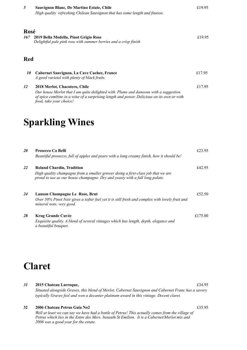| 5    | Sauvignon Blanc, De Martino Estate, Chile<br>High quality refreshing Chilean Sauvignon that has some length and finesse.                                                                                                                      | £19.95 |
|------|-----------------------------------------------------------------------------------------------------------------------------------------------------------------------------------------------------------------------------------------------|--------|
| Rosé |                                                                                                                                                                                                                                               |        |
| 167  | 2019 Bella Modella, Pinot Grigio Rose<br>Delightful pale pink rose with summer berries and a crisp finish                                                                                                                                     | £19.95 |
| Red  |                                                                                                                                                                                                                                               |        |
| 10   | Cabernet Sauvignon, La Cave Cachee, France<br>A good varietal with plenty of black fruits.                                                                                                                                                    | £17.95 |
| 12   | 2018 Merlot, Chacotero, Chile<br>Our house Merlot that I am quite delighted with. Plums and damsons with a suggestion<br>of spice combine in a wine of a surprising length and power. Delicious on its own or with<br>food, take your choice! | £17.95 |

### **Sparkling Wines**

| <b>20</b> | Prosecco Ca Belli<br>Beautiful prosecco, full of apples and pears with a long creamy finish, how it should be!              | £23.95  |
|-----------|-----------------------------------------------------------------------------------------------------------------------------|---------|
| 22        | <b>Roland Chardin, Tradition</b><br>High quality champagne from a smaller grower doing a first-class job that we are        | £42.95  |
|           | proud to use as our house champagne. Dry and yeasty with a full long palate.                                                |         |
| 24        | Lanson Champagne Le Rose, Brut                                                                                              | £52.50  |
|           | Over 50% Pinot Noir gives a softer feel yet it is still fresh and complex with lovely fruit and<br>mineral note, very good. |         |
| 28        | <b>Krug Grande Cuvée</b>                                                                                                    | £175.00 |
|           | Exquisite quality. A blend of several vintages which has length, depth, elegance and<br>a beautiful bouquet.                |         |

### **Claret**

*31* **2015 Chateau Larroque,** £34.95 *Situated alongside Graves, this blend of Merlot, Cabernet Sauvignon and Cabernet Franc has a savory typically Graves feel and won a decanter platinum award in this vintage. Decent claret.* 

#### **32 2006 Chateau Petrus Gaia No2** £35.95

*Well at least we can say we have had a bottle of Petrus! This actually comes from the village of Petrus which lies in the Entre des Mers. beneath St Emilion. It is a Cabernet/Merlot mix and 2006 was a good year for the estate.*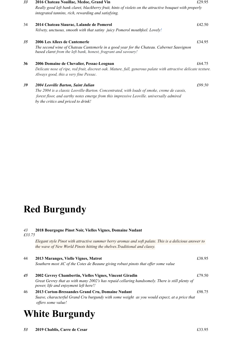| 33 | 2016 Chateau Noaillac, Medoc, Grand Vin                                                                                                                    | £29.95 |
|----|------------------------------------------------------------------------------------------------------------------------------------------------------------|--------|
|    | Really good left bank claret, blackberry fruit, hints of violets on the attractive bouquet with properly                                                   |        |
|    | integrated tannins, rich, rewarding and satisfying.                                                                                                        |        |
| 34 | 2014 Chateau Siaurac, Lalande de Pomerol                                                                                                                   | £42.50 |
|    | Velvety, unctuous, smooth with that satiny juicy Pomerol mouthfeel. Lovely!                                                                                |        |
| 35 | 2006 Les Allees de Cantemerle                                                                                                                              | £34.95 |
|    | The second wine of Chateau Cantemerle in a good year for the Chateau. Cabernet Sauvignon<br>based claret from the left bank, honest, fragrant and savoury! |        |
| 36 | 2006 Domaine de Chevalier, Pessac-Leognan                                                                                                                  | £64.75 |
|    | Delicate nose of ripe, red fruit, discreet oak. Mature, full, generous palate with attractive delicate texture.<br>Always good, this a very fine Pessac.   |        |
| 39 | 2004 Leoville Barton, Saint Julian                                                                                                                         | £99.50 |
|    | The 2004 is a classic Leoville-Barton. Concentrated, with loads of smoke, creme de cassis,                                                                 |        |
|    | forest floor, and earthy notes emerge from this impressive Leoville. universally admired                                                                   |        |

**Red Burgundy**

*by the critics and priced to drink!*

#### *43* **2018 Bourgogne Pinot Noir, Vielles Vignes, Domaine Nudant**

*£33.75*

| Elegant style Pinot with attractive summer berry aromas and soft palate. This is a delicious answer to |  |
|--------------------------------------------------------------------------------------------------------|--|
| the wave of New World Pinots hitting the shelves. Traditional and classy.                              |  |

| 44 | 2013 Maranges, Vielle Vignes, Matrot<br>Southern most AC of the Cotes de Beaune giving robust pinots that offer some value                                                                          | £38.95 |
|----|-----------------------------------------------------------------------------------------------------------------------------------------------------------------------------------------------------|--------|
| 45 | 2002 Gevrey Chambertin, Vielles Vignes, Vincent Giradin<br>Great Gevrey that as with many 2002's has repaid cellaring handsomely. There is still plenty of<br>power, life and enjoyment left here!! | £79.50 |
| 46 | 2013 Corton-Bressandes Grand Cru, Domaine Nudant<br>Suave, characterful Grand Cru burgundy with some weight as you would expect, at a price that<br><i>offers some value!</i>                       | £98.75 |

### **White Burgundy**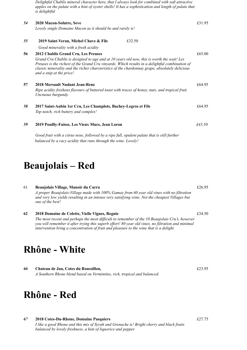*Delightful Chablis mineral character here, that I always look for combined with soft attractive apples on the palate with a hint of oyster shells! It has a sophistication and length of palate that is delightful*

 *£43.50 54* **2020 Macon-Solutre, Seve** £31.95 *Lovely single Domaine Macon as it should be and rarely is! 55* **2019 Saint-Veran, Michel Chave & Fils**£32.50 *Good minerality with a fresh acidity* **56 2012 Chablis Grand Cru, Les Preuses** £65.00 *Grand Cru Chablis is designed to age and at 10 years old now, this is worth the wait! Les Preuses is the richest of the Grand Cru vinyards. Which results in a delightful combination of classic minerality and the richer charcteristics of the chardonnay grape, absolutely delicious and a snip at the price!* **57 2018 Mersault Nudant Jean-Rene** £64.95 *Ripe acidity freshens flavours of buttered toast with traces of honey, nuts, and tropical fruit. Unctuous burgundy. 58* **2017 Saint-Aubin 1er Cru, Les Champlots, Bachey-Legros et Fils** £64.95 *Top notch, rich buttery and complex! 59* **2019 Pouilly-Fuisse, Les Vieux Murs, Jean Loron** 

*Good fruit with a citrus nose, followed by a ripe full, opulent palate that is still further balanced by a racy acidity that runs through the wine. Lovely!*

### **Beaujolais – Red**

61 **Beaujolais Village, Manoir du Carra** £26.95

*A proper Beaujolais-Village made with 100% Gamay from 60 year old vines with no filtration and very low yields resulting in an intense very satisfying wine. Not the cheapest Villages but one of the best!* 

**62 2018 Domaine de Colette, Vielle Vignes, Regnie** £34.50 *The most recent and perhaps the most difficult to remember of the 10 Beaujolais Cru's, however you will remember it after trying this superb effort! 80 year old vines, no filtration and minimal intervention bring a concentration of fruit and pleasure to the wine that is a delight.*

### **Rhône - White**

*66* **Chateau de Jau, Cotes du Roussillon,** £23.95 *A Southern Rhone blend based on Vermintino, rich, tropical and balanced.*

### **Rhône - Red**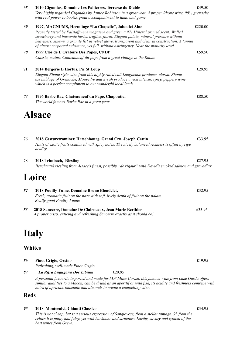| 68 | 2010 Gigondas, Domaine Les Pallierres, Terrasse du Diable                                                                                                                                                                                                                                                                                                                           | £49.50  |
|----|-------------------------------------------------------------------------------------------------------------------------------------------------------------------------------------------------------------------------------------------------------------------------------------------------------------------------------------------------------------------------------------|---------|
|    | Very highly regarded Gigondas by Janice Robinson in a great year. A proper Rhone wine, 90% grenache<br>with real power to boot!A great accompaniment to lamb and game.                                                                                                                                                                                                              |         |
| 69 | 1997, MAGNUMS, Hermitage "La Chapelle", Jaboulet Aine                                                                                                                                                                                                                                                                                                                               | £220.00 |
|    | Recently tasted by Falstaff wine magazine and given a 97! Mineral primed scent: Walled<br>strawberry and balsamic herbs, truffles, floral. Elegant palate, mineral pressure without<br>heaviness, sinewy, a granite fist in velvet glove, transparent and clear in construction. A tannin<br>of almost corporeal substance, yet full, without astringency. Near the maturity level. |         |
| 70 | 1999 Clos de L'Oratoire Des Papes, CNDP                                                                                                                                                                                                                                                                                                                                             | £59.50  |
|    | Classic, mature Chateauneuf-du-pape from a great vintage in the Rhone                                                                                                                                                                                                                                                                                                               |         |
| 71 | 2014 Bergerie L'Hortus, Pic St Loup                                                                                                                                                                                                                                                                                                                                                 | £29.95  |
|    | Elegant Rhone style wine from this highly rated cult Languedoc producer, classic Rhone<br>assemblage of Grenache, Mouvedre and Syrah produce a rich intense, spicy, peppery wine<br>which is a perfect compliment to our wonderful local lamb.                                                                                                                                      |         |
| 73 | 1996 Barbe Rac, Chateauneuf du Pape, Chapoutier                                                                                                                                                                                                                                                                                                                                     | £88.50  |
|    | The world famous Barbe Rac in a great year.                                                                                                                                                                                                                                                                                                                                         |         |
|    | Alsace                                                                                                                                                                                                                                                                                                                                                                              |         |

| 2018 Gewurztraminer, Hatschbourg, Grand Cru, Joseph Cattin                                                          | £33.95 |
|---------------------------------------------------------------------------------------------------------------------|--------|
| Hints of exotic fruits combined with spicy notes. The nicely balanced richness is offset by ripe<br><i>acidity.</i> |        |

78 **2018 Trimbach, Riesling** £27.95 *Benchmark riesling from Alsace's finest, possibly "de rigour" with David's smoked salmon and gravadlax*

### **Loire**

| 82 | 2018 Pouilly-Fume, Domaine Bruno Blondelet,                                                                                            | £32.95 |
|----|----------------------------------------------------------------------------------------------------------------------------------------|--------|
|    | Fresh, aromatic fruit on the nose with soft, lively depth of fruit on the palate.<br>Really good Pouilly-Fume!                         |        |
| 83 | 2018 Sancerre, Domaine De Clairneaux, Jean Marie Berthier<br>A proper crisp, enticing and refreshing Sancerre exactly as it should be! | £33.95 |

### **Italy**

### **Whites**

| 86 | <b>Pinot Grigio, Orsino</b>         | £19.95                                                                                              |  |
|----|-------------------------------------|-----------------------------------------------------------------------------------------------------|--|
|    | Refreshing, well-made Pinot Grigio. |                                                                                                     |  |
| 87 | La Rifra Lugugana Doc Libium        | £29.95                                                                                              |  |
|    |                                     | 1 noyconal favourite imported and made for MW Miles Corish this famous wine from Lake Carda effects |  |

*A personal favourite imported and made for MW Miles Corish, this famous wine from Lake Garda offers similar qualities to a Macon, can be drunk as an aperitif or with fish, its acidity and freshness combine with notes of apricots, balsamic and almonds to create a compelling wine.*

#### **Reds**

#### *95* **2018 Montecalvi, Chianti Classico** £34.95

*This is not cheap, but is a serious expression of Sangiovese, from a stellar vintage. 93 from the critics it is pulpy and juicy, yet with backbone and structure. Earthy, savory and typical of the best wines from Greve.*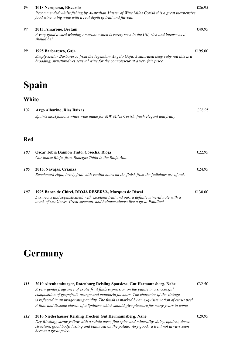| 96         | 2018 Neropasso, Biscardo<br>Recommended whilst fishing by Australian Master of Wine Miles Corish this a great inexpensive<br>food wine, a big wine with a real depth of fruit and flavour.                | £26.95  |
|------------|-----------------------------------------------------------------------------------------------------------------------------------------------------------------------------------------------------------|---------|
| 97         | 2013, Amarone, Bertani<br>A very good award winning Amarone which is rarely seen in the UK, rich and intense as it<br>should be!                                                                          | £49.95  |
| 99         | 1995 Barbaresco, Gaja<br>Simply stellar Barbaresco from the legendary Angelo Gaja. A saturated deep ruby red this is a<br>brooding, structured yet sensual wine for the connoisseur at a very fair price. | £195.00 |
|            | Spain                                                                                                                                                                                                     |         |
| White      |                                                                                                                                                                                                           |         |
| 102        | Argo Albarino, Rias Baixas<br>Spain's most famous white wine made for MW Miles Corish, fresh elegant and fruity                                                                                           | £28.95  |
| <b>Red</b> |                                                                                                                                                                                                           |         |
| 103        | Oscar Tobia Daimon Tinto, Cosecha, Rioja<br>Our house Rioja, from Bodegas Tobia in the Rioja Alta.                                                                                                        | £22.95  |

*105* **2015, Navajas, Crianza** £24.95 *Benchmark rioja, lovely fruit with vanilla notes on the finish from the judicious use of oak.*

*107* **1995 Baron de Chirel, RIOJA RESERVA, Marques de Riscal** £130.00

*Luxurious and sophisticated, with excellent fruit and oak, a definite mineral note with a*

*touch of smokiness. Great structure and balance almost like a great Pauillac!*

## **Germany**

| <i>111</i> | 2010 Altenbamburger, Rotenburg Reisling Spatslese, Gut Hermannsberg, Nahe                            | £32.50 |
|------------|------------------------------------------------------------------------------------------------------|--------|
|            | A very gentle fragrance of exotic fruit finds expression on the palate in a successful               |        |
|            | composition of grapefruit, orange and mandarin flavours. The character of the vintage                |        |
|            | is reflected in an invigorating acidity. The finish is marked by an exquisite notion of citrus peel. |        |
|            | A lithe and lissome classic of a Spätlese which should give pleasure for many years to come.         |        |

| <i>112</i> | 2010 Niederhauser Reisling Trocken Gut Hermannsberg, Nahe                                       | £29.95 |
|------------|-------------------------------------------------------------------------------------------------|--------|
|            | Dry Riesling, straw yellow with a subtle nose, fine spice and minerality. Juicy, opulent, dense |        |
|            | structure, good body, lasting and balanced on the palate. Very good, a treat not always seen    |        |
|            | here at a great price.                                                                          |        |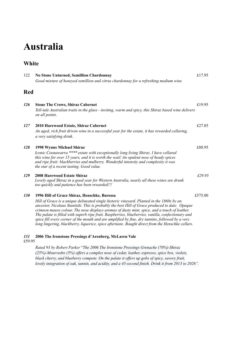## **Australia**

### **White**

| 122           | No Stone Unturned, Semillion Chardonnay<br>Good mixture of honeyed semillion and citrus chardonnay for a refreshing medium wine                                                                                                                                                                                                                                                                                                                                                                                                                                                                                                                                     | £17.95 |
|---------------|---------------------------------------------------------------------------------------------------------------------------------------------------------------------------------------------------------------------------------------------------------------------------------------------------------------------------------------------------------------------------------------------------------------------------------------------------------------------------------------------------------------------------------------------------------------------------------------------------------------------------------------------------------------------|--------|
| Red           |                                                                                                                                                                                                                                                                                                                                                                                                                                                                                                                                                                                                                                                                     |        |
| <b>126</b>    | <b>Stone The Crows, Shiraz Cabernet</b><br>Tell-tale Australian traits in the glass - inviting, warm and spicy, this Shiraz based wine delivers<br>on all points.                                                                                                                                                                                                                                                                                                                                                                                                                                                                                                   | £19.95 |
| 127           | 2010 Harewood Estate, Shiraz Cabernet<br>An aged, rich fruit driven wine in a successful year for the estate, it has rewarded cellaring,<br>a very satisfying drink.                                                                                                                                                                                                                                                                                                                                                                                                                                                                                                | £27.85 |
| 128           | 1998 Wynns Michael Shiraz<br>Iconic Coonawarra **** estate with exceptionally long living Shiraz. I have cellared<br>this wine for over 15 years, and it is worth the wait! An opulent nose of heady spices<br>and ripe fruit: blackberries and mulberry. Wonderful intensity and complexity it was<br>the star of a recent tasting. Good value.                                                                                                                                                                                                                                                                                                                    | £88.95 |
| 129           | <b>2008 Harewood Estate Shiraz</b><br>Lovely aged Shiraz in a good year for Western Australia, nearly all these wines are drunk<br>too quickly and patience has been rewarded!!!                                                                                                                                                                                                                                                                                                                                                                                                                                                                                    | £29.95 |
| 130           | 1996 Hill of Grace Shiraz, Henschke, Barossa<br>£575.00<br>Hill of Grace is a unique delineated single historic vineyard. Planted in the 1860s by an<br>ancestor, Nicolaus Stanitzki. This is probably the best Hill of Grace produced to date. Opaque<br>crimson mauve colour. The nose displays aromas of dusty mint, spice, and a touch of leather.<br>The palate is filled with superb ripe fruit. Raspberries, blueberries, vanilla, confectionary and<br>spice fill every corner of the mouth and are amplified by fine, dry tannins, followed by a very<br>long lingering, blackberry, liquorice, spice aftertaste. Bought direct from the Henschke cellars. |        |
| 131<br>£59.95 | 2006 The Ironstone Pressings d'Arenberg, McLaren Vale                                                                                                                                                                                                                                                                                                                                                                                                                                                                                                                                                                                                               |        |
|               | Rated 93 by Robert Parker "The 2006 The Ironstone Pressings Grenache (70%)-Shiraz<br>(25%)-Mourvedre (5%) offers a complex nose of cedar, leather, espresso, spice box, violets,<br>black cherry, and blueberry compote. On the palate it offers up gobs of spicy, savory fruit,<br>lovely integration of oak, tannin, and acidity, and a 45-second finish. Drink it from 2013 to 2026".                                                                                                                                                                                                                                                                            |        |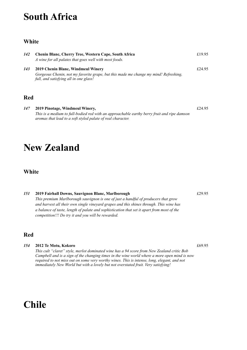### **South Africa**

#### **White**

| 142 | Chenin Blanc, Cherry Tree, Western Cape, South Africa<br>A wine for all palates that goes well with most foods.                                                      | £19.95 |
|-----|----------------------------------------------------------------------------------------------------------------------------------------------------------------------|--------|
| 143 | 2019 Chenin Blanc, Windmeul Winery<br>Gorgeous Chenin, not my favorite grape, but this made me change my mind! Refreshing,<br>full, and satisfying all in one glass! | £24.95 |
| Red |                                                                                                                                                                      |        |

*147* **2019 Pinotage, Windmeul Winery,** £24.95 *This is a medium to full-bodied red with an approachable earthy berry fruit and ripe damson aromas that lead to a soft styled palate of real character.* 

### **New Zealand**

#### **White**

#### *151* **2019 Fairhall Downs, Sauvignon Blanc, Marlborough** £29.95 *This premium Marlborough sauvignon is one of just a handful of producers that grow and harvest all their own single vineyard grapes and this shines through. This wine has a balance of taste, length of palate and sophistication that set it apart from most of the competition!!! Do try it and you will be rewarded.*

### **Red**

#### *154* **2012 Te Motu, Kokoro** £69.95

*This cult "claret" style, merlot dominated wine has a 94 score from New Zealand critic Bob Campbell and is a sign of the changing times in the wine world where a more open mind is now required to not miss out on some very worthy wines. This is intense, long, elegant, and not immediately New World but with a lovely but not overstated fruit. Very satisfying!*

### **Chile**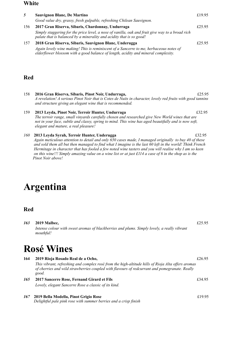#### **White**

| 5   | Sauvignon Blanc, De Martino                                                                                                                                                  | £19.95 |
|-----|------------------------------------------------------------------------------------------------------------------------------------------------------------------------------|--------|
|     | Good value dry, grassy, fresh gulpable, refreshing Chilean Sauvignon.                                                                                                        |        |
| 156 | 2017 Gran Riserva, Sibaris, Chardonnay, Undurraga                                                                                                                            | £25.95 |
|     | Simply staggering for the price level, a nose of vanilla, oak and fruit give way to a broad rich<br>palate that is balanced by a minerality and acidity that is so good!     |        |
| 157 | 2018 Gran Riserva, Sibaris, Sauvignon Blanc, Underugga                                                                                                                       | £25.95 |
|     | Again lovely wine making! This is reminiscent of a Sancerre to me, herbaceous notes of<br>elderflower blossom with a good balance of length, acidity and mineral complexity. |        |
|     |                                                                                                                                                                              |        |

#### **Red**

- 158 **2016 Gran Riserva, Sibaris, Pinot Noir, Undurraga,** £25.95 *A revelation! A serious Pinot Noir that is Cotes de Nuits in character, lovely red fruits with good tannins and structure giving an elegant wine that is recommended.*
- 159 **2013 Leyda, Pinot Noir, Terroir Hunter, Undurraga** £32.95  *The terroir range, small vinyards carefully chosen and researched give New World wines that are not in your face, subtle and classy, spring to mind. This wine has aged beautifully and is now soft, elegant and mature, a real pleasure!*
- *160* **2013 Leyda Syrah, Terroir Hunter, Underugga** £32.95 *Again meticulous attention to detail and only 650 cases made, I managed originally to buy 40 of these and sold them all but then managed to find what I imagine is the last 60 left in the world! Think French Hermitage in character that has fooled a few noted wine tasters and you will realise why I am so keen on this wine!!! Simply amazing value on a wine list or at just £114 a case of 6 in the shop as is the Pinot Noir above!*

### **Argentina**

*163* **2019 Malbec,** £25.95 *Intense colour with sweet aromas of blackberries and plums. Simply lovely, a really vibrant mouthful!*

### **Rosé Wines**

| 164 | 2019 Rioja Rosado Real de a Ocho,                                                                                                                                                                            | £26.95 |
|-----|--------------------------------------------------------------------------------------------------------------------------------------------------------------------------------------------------------------|--------|
|     | This vibrant, refreshing and complex rosé from the high-altitude hills of Rioja Alta offers aromas<br>of cherries and wild strawberries coupled with flavours of redcurrant and pomegranate. Really<br>good. |        |
| 165 | 2017 Sancerre Rose, Fernand Girard et Fils                                                                                                                                                                   | £34.95 |
|     | Lovely, elegant Sancerre Rose a classic of its kind.                                                                                                                                                         |        |

*167* **2019 Bella Modella, Pinot Grigio Rose** £19.95 *Delightful pale pink rose with summer berries and a crisp finish*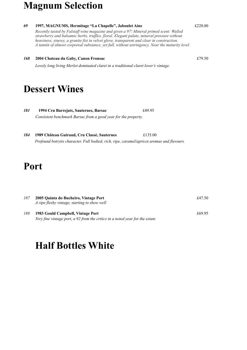### **Magnum Selection**



 *Profound botrytis character. Full bodied, rich, ripe, caramel/apricot aromas and flavours.*

### **Port**

| 187 | 2005 Quinta do Bucheiro, Vintage Port<br>A ripe fleshy vintage, starting to show well                             | £47.50 |
|-----|-------------------------------------------------------------------------------------------------------------------|--------|
| 188 | 1983 Gould Campbell, Vintage Port<br>Very fine vintage port, a 92 from the critics in a noted year for the estate | £69.95 |

### **Half Bottles White**